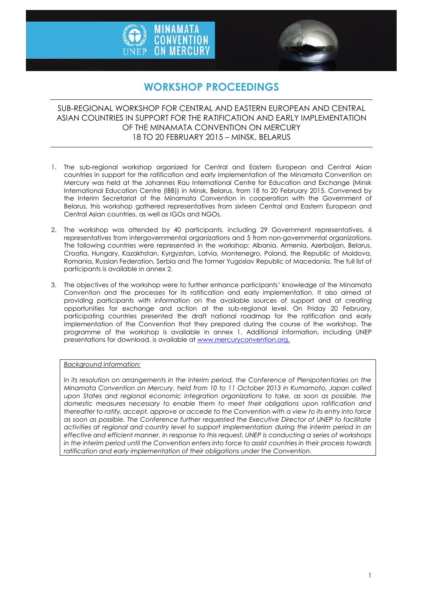



# **WORKSHOP PROCEEDINGS**

### SUB-REGIONAL WORKSHOP FOR CENTRAL AND EASTERN EUROPEAN AND CENTRAL ASIAN COUNTRIES IN SUPPORT FOR THE RATIFICATION AND EARLY IMPLEMENTATION OF THE MINAMATA CONVENTION ON MERCURY 18 TO 20 FEBRUARY 2015 – MINSK, BELARUS

- 1. The sub-regional workshop organized for Central and Eastern European and Central Asian countries in support for the ratification and early implementation of the Minamata Convention on Mercury was held at the Johannes Rau International Centre for Education and Exchange (Minsk International Education Centre (IBB)) in Minsk, Belarus, from 18 to 20 February 2015. Convened by the Interim Secretariat of the Minamata Convention in cooperation with the Government of Belarus, this workshop gathered representatives from sixteen Central and Eastern European and Central Asian countries, as well as IGOs and NGOs.
- 2. The workshop was attended by 40 participants, including 29 Government representatives, 6 representatives from intergovernmental organizations and 5 from non-governmental organizations. The following countries were represented in the workshop: Albania, Armenia, Azerbaijan, Belarus, Croatia, Hungary, Kazakhstan, Kyrgyzstan, Latvia, Montenegro, Poland, the Republic of Moldova, Romania, Russian Federation, Serbia and The former Yugoslav Republic of Macedonia. The full list of participants is available in annex 2.
- 3. The objectives of the workshop were to further enhance participants' knowledge of the Minamata Convention and the processes for its ratification and early implementation. It also aimed at providing participants with information on the available sources of support and at creating opportunities for exchange and action at the sub-regional level. On Friday 20 February, participating countries presented the draft national roadmap for the ratification and early implementation of the Convention that they prepared during the course of the workshop. The programme of the workshop is available in annex 1. Additional information, including UNEP presentations for download, is available a[t www.mercuryconvention.org.](http://www.mercuryconvention.org/)

#### *Background information:*

*In its resolution on arrangements in the interim period, the Conference of Plenipotentiaries on the Minamata Convention on Mercury, held from 10 to 11 October 2013 in Kumamoto, Japan called*  upon States and regional economic integration organizations to take, as soon as possible, the *domestic measures necessary to enable them to meet their obligations upon ratification and thereafter to ratify, accept, approve or accede to the Convention with a view to its entry into force as soon as possible. The Conference further requested the Executive Director of UNEP to facilitate activities at regional and country level to support implementation during the interim period in an effective and efficient manner. In response to this request, UNEP is conducting a series of workshops in the interim period until the Convention enters into force to assist countries in their process towards ratification and early implementation of their obligations under the Convention.*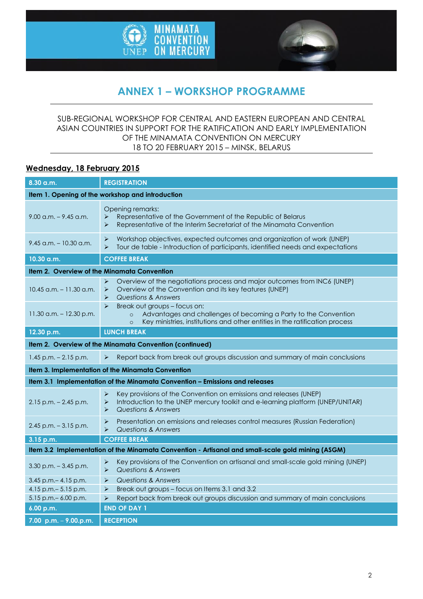



# **ANNEX 1 – WORKSHOP PROGRAMME**

### SUB-REGIONAL WORKSHOP FOR CENTRAL AND EASTERN EUROPEAN AND CENTRAL ASIAN COUNTRIES IN SUPPORT FOR THE RATIFICATION AND EARLY IMPLEMENTATION OF THE MINAMATA CONVENTION ON MERCURY 18 TO 20 FEBRUARY 2015 – MINSK, BELARUS

### **Wednesday, 18 February 2015**

| 8.30 a.m.                                                                                         | <b>REGISTRATION</b>                                                                                                                                                                                                               |  |
|---------------------------------------------------------------------------------------------------|-----------------------------------------------------------------------------------------------------------------------------------------------------------------------------------------------------------------------------------|--|
| Item 1. Opening of the workshop and introduction                                                  |                                                                                                                                                                                                                                   |  |
| $9.00$ a.m. $-9.45$ a.m.                                                                          | Opening remarks:<br>Representative of the Government of the Republic of Belarus<br>➤<br>Representative of the Interim Secretariat of the Minamata Convention<br>⋗                                                                 |  |
| $9.45$ a.m. - 10.30 a.m.                                                                          | Workshop objectives, expected outcomes and organization of work (UNEP)<br>➤<br>Tour de table - Introduction of participants, identified needs and expectations<br>⋗                                                               |  |
| 10.30 a.m.                                                                                        | <b>COFFEE BREAK</b>                                                                                                                                                                                                               |  |
| Item 2. Overview of the Minamata Convention                                                       |                                                                                                                                                                                                                                   |  |
| $10.45$ a.m. $-11.30$ a.m.                                                                        | Overview of the negotiations process and major outcomes from INC6 (UNEP)<br>$\blacktriangleright$<br>Overview of the Convention and its key features (UNEP)<br>➤<br>Questions & Answers<br>⋗                                      |  |
| $11.30$ a.m. $- 12.30$ p.m.                                                                       | Break out groups - focus on:<br>$\blacktriangleright$<br>Advantages and challenges of becoming a Party to the Convention<br>$\circ$<br>Key ministries, institutions and other entities in the ratification process<br>$\circ$     |  |
| 12.30 p.m.                                                                                        | <b>LUNCH BREAK</b>                                                                                                                                                                                                                |  |
| Item 2. Overview of the Minamata Convention (continued)                                           |                                                                                                                                                                                                                                   |  |
| $1.45$ p.m. $- 2.15$ p.m.                                                                         | Report back from break out groups discussion and summary of main conclusions<br>➤                                                                                                                                                 |  |
| Item 3. Implementation of the Minamata Convention                                                 |                                                                                                                                                                                                                                   |  |
| Item 3.1 Implementation of the Minamata Convention - Emissions and releases                       |                                                                                                                                                                                                                                   |  |
| $2.15$ p.m. $- 2.45$ p.m.                                                                         | $\blacktriangleright$<br>Key provisions of the Convention on emissions and releases (UNEP)<br>Introduction to the UNEP mercury toolkit and e-learning platform (UNEP/UNITAR)<br>$\blacktriangleright$<br>Questions & Answers<br>➤ |  |
| $2.45$ p.m. $-3.15$ p.m.                                                                          | $\blacktriangleright$<br>Presentation on emissions and releases control measures (Russian Federation)<br><b>Questions &amp; Answers</b><br>➤                                                                                      |  |
| 3.15 p.m.                                                                                         | <b>COFFEE BREAK</b>                                                                                                                                                                                                               |  |
| Item 3.2 Implementation of the Minamata Convention - Artisanal and small-scale gold mining (ASGM) |                                                                                                                                                                                                                                   |  |
| $3.30$ p.m. $-3.45$ p.m.                                                                          | Key provisions of the Convention on artisanal and small-scale gold mining (UNEP)<br>➤<br><b>Questions &amp; Answers</b><br>⋗                                                                                                      |  |
| 3.45 p.m. - 4.15 p.m.                                                                             | <b>Questions &amp; Answers</b><br>$\blacktriangleright$                                                                                                                                                                           |  |
| 4.15 p.m. - 5.15 p.m.                                                                             | Break out groups - focus on Items 3.1 and 3.2<br>➤                                                                                                                                                                                |  |
| 5.15 p.m. - 6.00 p.m.                                                                             | Report back from break out groups discussion and summary of main conclusions<br>➤                                                                                                                                                 |  |
| <b>END OF DAY 1</b><br>6.00 p.m.                                                                  |                                                                                                                                                                                                                                   |  |
| $7.00 p.m. - 9.00 p.m.$                                                                           | <b>RECEPTION</b>                                                                                                                                                                                                                  |  |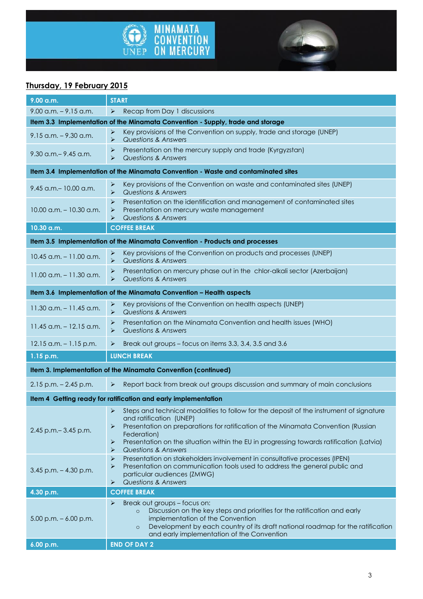



## **Thursday, 19 February 2015**

| $9.00$ a.m. $-9.15$ a.m.<br>Recap from Day 1 discussions<br>$\blacktriangleright$<br>Item 3.3 Implementation of the Minamata Convention - Supply, trade and storage<br>Key provisions of the Convention on supply, trade and storage (UNEP)<br>➤<br>$9.15$ a.m. $-9.30$ a.m.<br><b>Questions &amp; Answers</b><br>➤<br>Presentation on the mercury supply and trade (Kyrgyzstan)<br>➤<br>$9.30$ a.m. $- 9.45$ a.m.<br>$\blacktriangleright$<br>Questions & Answers<br>Item 3.4 Implementation of the Minamata Convention - Waste and contaminated sites<br>Key provisions of the Convention on waste and contaminated sites (UNEP)<br>➤<br>9.45 a.m. - 10.00 a.m.<br><b>Questions &amp; Answers</b><br>$\blacktriangleright$<br>≯<br>Presentation on the identification and management of contaminated sites<br>$10.00$ a.m. $- 10.30$ a.m.<br>Presentation on mercury waste management<br>➤<br><b>Questions &amp; Answers</b><br>⋗<br><b>COFFEE BREAK</b><br>10.30 a.m.<br>Item 3.5 Implementation of the Minamata Convention - Products and processes<br>Key provisions of the Convention on products and processes (UNEP)<br>➤<br>$10.45$ a.m. $-11.00$ a.m.<br><b>Questions &amp; Answers</b><br>$\blacktriangleright$<br>Presentation on mercury phase out in the chlor-alkali sector (Azerbaijan)<br>➤<br>$11.00$ a.m. $- 11.30$ a.m.<br>$\blacktriangleright$<br><b>Questions &amp; Answers</b><br>Item 3.6 Implementation of the Minamata Convention - Health aspects<br>Key provisions of the Convention on health aspects (UNEP)<br>➤<br>$11.30$ a.m. $-11.45$ a.m.<br>$\blacktriangleright$<br><b>Questions &amp; Answers</b><br>Presentation on the Minamata Convention and health issues (WHO)<br>➤<br>$11.45$ a.m. $-12.15$ a.m.<br>Questions & Answers<br>⋗<br>Break out groups - focus on items 3.3, 3.4, 3.5 and 3.6<br>$12.15$ a.m. $-1.15$ p.m.<br>➤<br><b>LUNCH BREAK</b><br>$1.15$ p.m.<br>Item 3. Implementation of the Minamata Convention (continued)<br>Report back from break out groups discussion and summary of main conclusions<br>$2.15$ p.m. $- 2.45$ p.m.<br>$\blacktriangleright$<br>Item 4 Getting ready for ratification and early implementation<br>Steps and technical modalities to follow for the deposit of the instrument of signature<br>➤<br>and ratification (UNEP)<br>Presentation on preparations for ratification of the Minamata Convention (Russian<br>➤<br>2.45 p.m. - 3.45 p.m.<br>Federation)<br>Presentation on the situation within the EU in progressing towards ratification (Latvia)<br>➤<br>Questions & Answers<br>⋗<br>➤<br>Presentation on stakeholders involvement in consultative processes (IPEN)<br>Presentation on communication tools used to address the general public and<br>⋗<br>$3.45$ p.m. $- 4.30$ p.m.<br>particular audiences (ZMWG)<br><b>Questions &amp; Answers</b><br>➤<br>4.30 p.m.<br><b>COFFEE BREAK</b><br>Break out groups - focus on:<br>➤<br>Discussion on the key steps and priorities for the ratification and early<br>$\circ$<br>implementation of the Convention<br>$5.00$ p.m. $-6.00$ p.m.<br>Development by each country of its draft national roadmap for the ratification<br>$\circ$<br>and early implementation of the Convention<br>6.00 p.m.<br><b>END OF DAY 2</b> | 9.00 a.m. | <b>START</b> |  |
|-------------------------------------------------------------------------------------------------------------------------------------------------------------------------------------------------------------------------------------------------------------------------------------------------------------------------------------------------------------------------------------------------------------------------------------------------------------------------------------------------------------------------------------------------------------------------------------------------------------------------------------------------------------------------------------------------------------------------------------------------------------------------------------------------------------------------------------------------------------------------------------------------------------------------------------------------------------------------------------------------------------------------------------------------------------------------------------------------------------------------------------------------------------------------------------------------------------------------------------------------------------------------------------------------------------------------------------------------------------------------------------------------------------------------------------------------------------------------------------------------------------------------------------------------------------------------------------------------------------------------------------------------------------------------------------------------------------------------------------------------------------------------------------------------------------------------------------------------------------------------------------------------------------------------------------------------------------------------------------------------------------------------------------------------------------------------------------------------------------------------------------------------------------------------------------------------------------------------------------------------------------------------------------------------------------------------------------------------------------------------------------------------------------------------------------------------------------------------------------------------------------------------------------------------------------------------------------------------------------------------------------------------------------------------------------------------------------------------------------------------------------------------------------------------------------------------------------------------------------------------------------------------------------------------------------------------------------------------------------------------------------------------------------------------------------------------------------------------------------------------------------------------------------------------------------------------------------------------------------------------------------------------|-----------|--------------|--|
|                                                                                                                                                                                                                                                                                                                                                                                                                                                                                                                                                                                                                                                                                                                                                                                                                                                                                                                                                                                                                                                                                                                                                                                                                                                                                                                                                                                                                                                                                                                                                                                                                                                                                                                                                                                                                                                                                                                                                                                                                                                                                                                                                                                                                                                                                                                                                                                                                                                                                                                                                                                                                                                                                                                                                                                                                                                                                                                                                                                                                                                                                                                                                                                                                                                                         |           |              |  |
|                                                                                                                                                                                                                                                                                                                                                                                                                                                                                                                                                                                                                                                                                                                                                                                                                                                                                                                                                                                                                                                                                                                                                                                                                                                                                                                                                                                                                                                                                                                                                                                                                                                                                                                                                                                                                                                                                                                                                                                                                                                                                                                                                                                                                                                                                                                                                                                                                                                                                                                                                                                                                                                                                                                                                                                                                                                                                                                                                                                                                                                                                                                                                                                                                                                                         |           |              |  |
|                                                                                                                                                                                                                                                                                                                                                                                                                                                                                                                                                                                                                                                                                                                                                                                                                                                                                                                                                                                                                                                                                                                                                                                                                                                                                                                                                                                                                                                                                                                                                                                                                                                                                                                                                                                                                                                                                                                                                                                                                                                                                                                                                                                                                                                                                                                                                                                                                                                                                                                                                                                                                                                                                                                                                                                                                                                                                                                                                                                                                                                                                                                                                                                                                                                                         |           |              |  |
|                                                                                                                                                                                                                                                                                                                                                                                                                                                                                                                                                                                                                                                                                                                                                                                                                                                                                                                                                                                                                                                                                                                                                                                                                                                                                                                                                                                                                                                                                                                                                                                                                                                                                                                                                                                                                                                                                                                                                                                                                                                                                                                                                                                                                                                                                                                                                                                                                                                                                                                                                                                                                                                                                                                                                                                                                                                                                                                                                                                                                                                                                                                                                                                                                                                                         |           |              |  |
|                                                                                                                                                                                                                                                                                                                                                                                                                                                                                                                                                                                                                                                                                                                                                                                                                                                                                                                                                                                                                                                                                                                                                                                                                                                                                                                                                                                                                                                                                                                                                                                                                                                                                                                                                                                                                                                                                                                                                                                                                                                                                                                                                                                                                                                                                                                                                                                                                                                                                                                                                                                                                                                                                                                                                                                                                                                                                                                                                                                                                                                                                                                                                                                                                                                                         |           |              |  |
|                                                                                                                                                                                                                                                                                                                                                                                                                                                                                                                                                                                                                                                                                                                                                                                                                                                                                                                                                                                                                                                                                                                                                                                                                                                                                                                                                                                                                                                                                                                                                                                                                                                                                                                                                                                                                                                                                                                                                                                                                                                                                                                                                                                                                                                                                                                                                                                                                                                                                                                                                                                                                                                                                                                                                                                                                                                                                                                                                                                                                                                                                                                                                                                                                                                                         |           |              |  |
|                                                                                                                                                                                                                                                                                                                                                                                                                                                                                                                                                                                                                                                                                                                                                                                                                                                                                                                                                                                                                                                                                                                                                                                                                                                                                                                                                                                                                                                                                                                                                                                                                                                                                                                                                                                                                                                                                                                                                                                                                                                                                                                                                                                                                                                                                                                                                                                                                                                                                                                                                                                                                                                                                                                                                                                                                                                                                                                                                                                                                                                                                                                                                                                                                                                                         |           |              |  |
|                                                                                                                                                                                                                                                                                                                                                                                                                                                                                                                                                                                                                                                                                                                                                                                                                                                                                                                                                                                                                                                                                                                                                                                                                                                                                                                                                                                                                                                                                                                                                                                                                                                                                                                                                                                                                                                                                                                                                                                                                                                                                                                                                                                                                                                                                                                                                                                                                                                                                                                                                                                                                                                                                                                                                                                                                                                                                                                                                                                                                                                                                                                                                                                                                                                                         |           |              |  |
|                                                                                                                                                                                                                                                                                                                                                                                                                                                                                                                                                                                                                                                                                                                                                                                                                                                                                                                                                                                                                                                                                                                                                                                                                                                                                                                                                                                                                                                                                                                                                                                                                                                                                                                                                                                                                                                                                                                                                                                                                                                                                                                                                                                                                                                                                                                                                                                                                                                                                                                                                                                                                                                                                                                                                                                                                                                                                                                                                                                                                                                                                                                                                                                                                                                                         |           |              |  |
|                                                                                                                                                                                                                                                                                                                                                                                                                                                                                                                                                                                                                                                                                                                                                                                                                                                                                                                                                                                                                                                                                                                                                                                                                                                                                                                                                                                                                                                                                                                                                                                                                                                                                                                                                                                                                                                                                                                                                                                                                                                                                                                                                                                                                                                                                                                                                                                                                                                                                                                                                                                                                                                                                                                                                                                                                                                                                                                                                                                                                                                                                                                                                                                                                                                                         |           |              |  |
|                                                                                                                                                                                                                                                                                                                                                                                                                                                                                                                                                                                                                                                                                                                                                                                                                                                                                                                                                                                                                                                                                                                                                                                                                                                                                                                                                                                                                                                                                                                                                                                                                                                                                                                                                                                                                                                                                                                                                                                                                                                                                                                                                                                                                                                                                                                                                                                                                                                                                                                                                                                                                                                                                                                                                                                                                                                                                                                                                                                                                                                                                                                                                                                                                                                                         |           |              |  |
|                                                                                                                                                                                                                                                                                                                                                                                                                                                                                                                                                                                                                                                                                                                                                                                                                                                                                                                                                                                                                                                                                                                                                                                                                                                                                                                                                                                                                                                                                                                                                                                                                                                                                                                                                                                                                                                                                                                                                                                                                                                                                                                                                                                                                                                                                                                                                                                                                                                                                                                                                                                                                                                                                                                                                                                                                                                                                                                                                                                                                                                                                                                                                                                                                                                                         |           |              |  |
|                                                                                                                                                                                                                                                                                                                                                                                                                                                                                                                                                                                                                                                                                                                                                                                                                                                                                                                                                                                                                                                                                                                                                                                                                                                                                                                                                                                                                                                                                                                                                                                                                                                                                                                                                                                                                                                                                                                                                                                                                                                                                                                                                                                                                                                                                                                                                                                                                                                                                                                                                                                                                                                                                                                                                                                                                                                                                                                                                                                                                                                                                                                                                                                                                                                                         |           |              |  |
|                                                                                                                                                                                                                                                                                                                                                                                                                                                                                                                                                                                                                                                                                                                                                                                                                                                                                                                                                                                                                                                                                                                                                                                                                                                                                                                                                                                                                                                                                                                                                                                                                                                                                                                                                                                                                                                                                                                                                                                                                                                                                                                                                                                                                                                                                                                                                                                                                                                                                                                                                                                                                                                                                                                                                                                                                                                                                                                                                                                                                                                                                                                                                                                                                                                                         |           |              |  |
|                                                                                                                                                                                                                                                                                                                                                                                                                                                                                                                                                                                                                                                                                                                                                                                                                                                                                                                                                                                                                                                                                                                                                                                                                                                                                                                                                                                                                                                                                                                                                                                                                                                                                                                                                                                                                                                                                                                                                                                                                                                                                                                                                                                                                                                                                                                                                                                                                                                                                                                                                                                                                                                                                                                                                                                                                                                                                                                                                                                                                                                                                                                                                                                                                                                                         |           |              |  |
|                                                                                                                                                                                                                                                                                                                                                                                                                                                                                                                                                                                                                                                                                                                                                                                                                                                                                                                                                                                                                                                                                                                                                                                                                                                                                                                                                                                                                                                                                                                                                                                                                                                                                                                                                                                                                                                                                                                                                                                                                                                                                                                                                                                                                                                                                                                                                                                                                                                                                                                                                                                                                                                                                                                                                                                                                                                                                                                                                                                                                                                                                                                                                                                                                                                                         |           |              |  |
|                                                                                                                                                                                                                                                                                                                                                                                                                                                                                                                                                                                                                                                                                                                                                                                                                                                                                                                                                                                                                                                                                                                                                                                                                                                                                                                                                                                                                                                                                                                                                                                                                                                                                                                                                                                                                                                                                                                                                                                                                                                                                                                                                                                                                                                                                                                                                                                                                                                                                                                                                                                                                                                                                                                                                                                                                                                                                                                                                                                                                                                                                                                                                                                                                                                                         |           |              |  |
|                                                                                                                                                                                                                                                                                                                                                                                                                                                                                                                                                                                                                                                                                                                                                                                                                                                                                                                                                                                                                                                                                                                                                                                                                                                                                                                                                                                                                                                                                                                                                                                                                                                                                                                                                                                                                                                                                                                                                                                                                                                                                                                                                                                                                                                                                                                                                                                                                                                                                                                                                                                                                                                                                                                                                                                                                                                                                                                                                                                                                                                                                                                                                                                                                                                                         |           |              |  |
|                                                                                                                                                                                                                                                                                                                                                                                                                                                                                                                                                                                                                                                                                                                                                                                                                                                                                                                                                                                                                                                                                                                                                                                                                                                                                                                                                                                                                                                                                                                                                                                                                                                                                                                                                                                                                                                                                                                                                                                                                                                                                                                                                                                                                                                                                                                                                                                                                                                                                                                                                                                                                                                                                                                                                                                                                                                                                                                                                                                                                                                                                                                                                                                                                                                                         |           |              |  |
|                                                                                                                                                                                                                                                                                                                                                                                                                                                                                                                                                                                                                                                                                                                                                                                                                                                                                                                                                                                                                                                                                                                                                                                                                                                                                                                                                                                                                                                                                                                                                                                                                                                                                                                                                                                                                                                                                                                                                                                                                                                                                                                                                                                                                                                                                                                                                                                                                                                                                                                                                                                                                                                                                                                                                                                                                                                                                                                                                                                                                                                                                                                                                                                                                                                                         |           |              |  |
|                                                                                                                                                                                                                                                                                                                                                                                                                                                                                                                                                                                                                                                                                                                                                                                                                                                                                                                                                                                                                                                                                                                                                                                                                                                                                                                                                                                                                                                                                                                                                                                                                                                                                                                                                                                                                                                                                                                                                                                                                                                                                                                                                                                                                                                                                                                                                                                                                                                                                                                                                                                                                                                                                                                                                                                                                                                                                                                                                                                                                                                                                                                                                                                                                                                                         |           |              |  |
|                                                                                                                                                                                                                                                                                                                                                                                                                                                                                                                                                                                                                                                                                                                                                                                                                                                                                                                                                                                                                                                                                                                                                                                                                                                                                                                                                                                                                                                                                                                                                                                                                                                                                                                                                                                                                                                                                                                                                                                                                                                                                                                                                                                                                                                                                                                                                                                                                                                                                                                                                                                                                                                                                                                                                                                                                                                                                                                                                                                                                                                                                                                                                                                                                                                                         |           |              |  |
|                                                                                                                                                                                                                                                                                                                                                                                                                                                                                                                                                                                                                                                                                                                                                                                                                                                                                                                                                                                                                                                                                                                                                                                                                                                                                                                                                                                                                                                                                                                                                                                                                                                                                                                                                                                                                                                                                                                                                                                                                                                                                                                                                                                                                                                                                                                                                                                                                                                                                                                                                                                                                                                                                                                                                                                                                                                                                                                                                                                                                                                                                                                                                                                                                                                                         |           |              |  |
|                                                                                                                                                                                                                                                                                                                                                                                                                                                                                                                                                                                                                                                                                                                                                                                                                                                                                                                                                                                                                                                                                                                                                                                                                                                                                                                                                                                                                                                                                                                                                                                                                                                                                                                                                                                                                                                                                                                                                                                                                                                                                                                                                                                                                                                                                                                                                                                                                                                                                                                                                                                                                                                                                                                                                                                                                                                                                                                                                                                                                                                                                                                                                                                                                                                                         |           |              |  |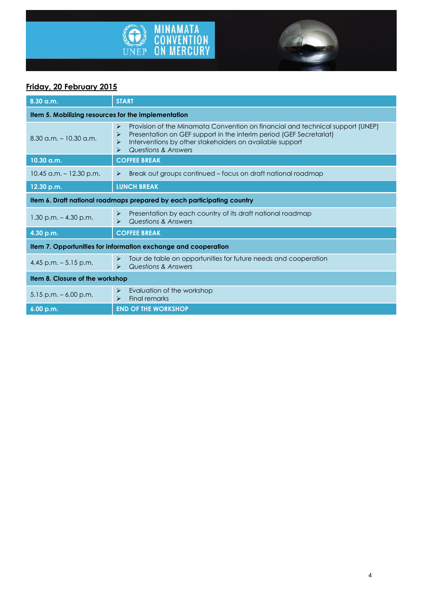



## **Friday, 20 February 2015**

| $8.30$ a.m.                                                            | <b>START</b>                                                                                                                                                                                                                                                            |  |
|------------------------------------------------------------------------|-------------------------------------------------------------------------------------------------------------------------------------------------------------------------------------------------------------------------------------------------------------------------|--|
| Item 5. Mobilizing resources for the implementation                    |                                                                                                                                                                                                                                                                         |  |
| $8.30$ a.m. $-10.30$ a.m.                                              | Provision of the Minamata Convention on financial and technical support (UNEP)<br>➤<br>Presentation on GEF support in the interim period (GEF Secretariat)<br>⋗<br>Interventions by other stakeholders on available support<br>➤<br><b>Questions &amp; Answers</b><br>⋗ |  |
| 10.30 a.m.                                                             | <b>COFFEE BREAK</b>                                                                                                                                                                                                                                                     |  |
| $10.45$ a.m. $-12.30$ p.m.                                             | Break out groups continued – focus on draft national roadmap<br>⋗                                                                                                                                                                                                       |  |
| 12.30 p.m.                                                             | <b>LUNCH BREAK</b>                                                                                                                                                                                                                                                      |  |
| Item 6. Draft national roadmaps prepared by each participating country |                                                                                                                                                                                                                                                                         |  |
| $1.30$ p.m. $-4.30$ p.m.                                               | Presentation by each country of its draft national roadmap<br>➤<br><b>Questions &amp; Answers</b><br>⋗                                                                                                                                                                  |  |
| 4.30 p.m.                                                              | <b>COFFEE BREAK</b>                                                                                                                                                                                                                                                     |  |
| Item 7. Opportunities for information exchange and cooperation         |                                                                                                                                                                                                                                                                         |  |
| 4.45 p.m. $-5.15$ p.m.                                                 | Tour de table on opportunities for future needs and cooperation<br>➤<br>Questions & Answers<br>$\blacktriangleright$                                                                                                                                                    |  |
| Item 8. Closure of the workshop                                        |                                                                                                                                                                                                                                                                         |  |
| $5.15$ p.m. $-6.00$ p.m.                                               | Evaluation of the workshop<br>➤<br>Final remarks<br>⋗                                                                                                                                                                                                                   |  |
| 6.00 p.m.                                                              | <b>END OF THE WORKSHOP</b>                                                                                                                                                                                                                                              |  |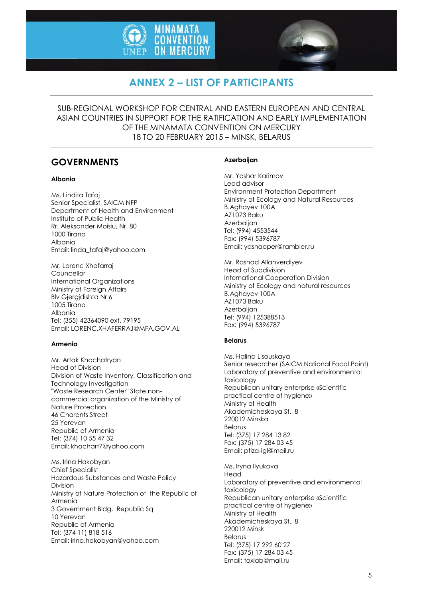



# **ANNEX 2 – LIST OF PARTICIPANTS**

SUB-REGIONAL WORKSHOP FOR CENTRAL AND EASTERN EUROPEAN AND CENTRAL ASIAN COUNTRIES IN SUPPORT FOR THE RATIFICATION AND EARLY IMPLEMENTATION OF THE MINAMATA CONVENTION ON MERCURY 18 TO 20 FEBRUARY 2015 – MINSK, BELARUS

## **GOVERNMENTS**

#### **Albania**

Ms. Lindita Tafaj Senior Specialist, SAICM NFP Department of Health and Environment Institute of Public Health Rr. Aleksander Moisiu, Nr. 80 1000 Tirana Albania Email: linda\_tafaj@yahoo.com

Mr. Lorenc Xhafarraj Councellor International Organizations Ministry of Foreign Affairs Blv Gjergjdishta Nr 6 1005 Tirana Albania Tel: (355) 42364090 ext. 79195 Email: LORENC.XHAFERRAJ@MFA.GOV.AL

#### **Armenia**

Mr. Artak Khachatryan Head of Division Division of Waste Inventory, Classification and Technology Investigation "Waste Research Center" State noncommercial organization of the Ministry of Nature Protection 46 Charents Street 25 Yerevan Republic of Armenia Tel: (374) 10 55 47 32 Email: khachart7@yahoo.com

Ms. Irina Hakobyan Chief Specialist Hazardous Substances and Waste Policy Division Ministry of Nature Protection of the Republic of Armenia 3 Government Bldg, Republic Sq 10 Yerevan Republic of Armenia Tel: (374 11) 818 516 Email: irina.hakobyan@yahoo.com

#### **Azerbaijan**

Mr. Yashar Karimov Lead advisor Environment Protection Department Ministry of Ecology and Natural Resources B.Aghayev 100A AZ1073 Baku Azerbaijan Tel: (994) 4553544 Fax: (994) 5396787 Email: yashaoper@rambler.ru

Mr. Rashad Allahverdiyev Head of Subdivision International Cooperation Division Ministry of Ecology and natural resources B.Aghayev 100A AZ1073 Baku **Azerbaijan** Tel: (994) 125388513 Fax: (994) 5396787

#### **Belarus**

Ms. Halina Lisouskaya Senior researcher (SAICM National Focal Point) Laboratory of preventive and environmental toxicology Republican unitary enterprise «Scientific practical centre of hygiene» Ministry of Health Akademicheskaya St., 8 220012 Minska Belarus Tel: (375) 17 284 13 82 Fax: (375) 17 284 03 45 Email: ptiza-igl@mail.ru

Ms. Iryna Ilyukova Head Laboratory of preventive and environmental toxicology Republican unitary enterprise «Scientific practical centre of hygiene» Ministry of Health Akademicheskaya St., 8 220012 Minsk Belarus Tel: (375) 17 292 60 27 Fax: (375) 17 284 03 45 Email: toxlab@mail.ru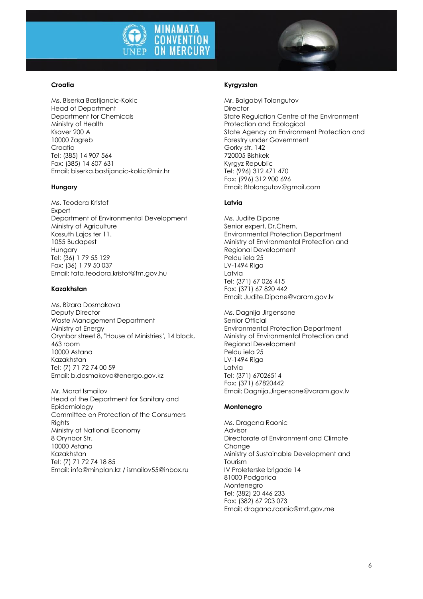

#### **Croatia**

Ms. Biserka Bastijancic-Kokic Head of Department Department for Chemicals Ministry of Health Ksaver 200 A 10000 Zagreb Croatia Tel: (385) 14 907 564 Fax: (385) 14 607 631 Email: biserka.bastijancic-kokic@miz.hr

#### **Hungary**

Ms. Teodora Kristof **Expert** Department of Environmental Development Ministry of Agriculture Kossuth Lajos ter 11. 1055 Budapest Hungary Tel: (36) 1 79 55 129 Fax: (36) 1 79 50 037 Email: fata.teodora.kristof@fm.gov.hu

#### **Kazakhstan**

Ms. Bizara Dosmakova Deputy Director Waste Management Department Ministry of Energy Orynbor street 8, "House of Ministries", 14 block, 463 room 10000 Astana Kazakhstan Tel: (7) 71 72 74 00 59 Email: b.dosmakova@energo.gov.kz

Mr. Marat Ismailov Head of the Department for Sanitary and Epidemiology Committee on Protection of the Consumers Rights Ministry of National Economy 8 Orynbor Str. 10000 Astana Kazakhstan Tel: (7) 71 72 74 18 85 Email: info@minplan.kz / ismailov55@inbox.ru

#### **Kyrgyzstan**

Mr. Baigabyl Tolongutov **Director** State Regulation Centre of the Environment Protection and Ecological State Agency on Environment Protection and Forestry under Government Gorky str. 142 720005 Bishkek Kyrgyz Republic Tel: (996) 312 471 470 Fax: (996) 312 900 696 Email: Btolongutov@gmail.com

#### **Latvia**

Ms. Judite Dipane Senior expert, Dr.Chem. Environmental Protection Department Ministry of Environmental Protection and Regional Development Peldu iela 25 LV-1494 Riga Latvia Tel: (371) 67 026 415 Fax: (371) 67 820 442 Email: Judite.Dipane@varam.gov.lv

Ms. Dagnija Jirgensone Senior Official Environmental Protection Department Ministry of Environmental Protection and Regional Development Peldu iela 25 LV-1494 Riga Latvia Tel: (371) 67026514 Fax: (371) 67820442 Email: Dagnija.Jirgensone@varam.gov.lv

#### **Montenegro**

Ms. Dragana Raonic Advisor Directorate of Environment and Climate Change Ministry of Sustainable Development and Tourism IV Proleterske brigade 14 81000 Podgorica Montenegro Tel: (382) 20 446 233 Fax: (382) 67 203 073 Email: dragana.raonic@mrt.gov.me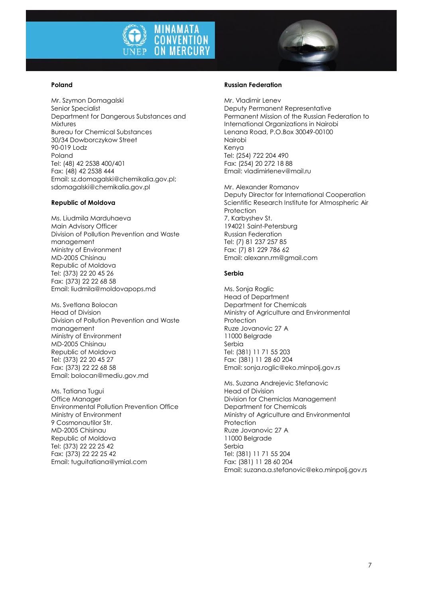

#### **Poland**

Mr. Szymon Domagalski Senior Specialist Department for Dangerous Substances and Mixtures Bureau for Chemical Substances 30/34 Dowborczykow Street 90-019 Lodz Poland Tel: (48) 42 2538 400/401 Fax: (48) 42 2538 444 Email: sz.domagalski@chemikalia.gov.pl; sdomagalski@chemikalia.gov.pl

#### **Republic of Moldova**

Ms. Liudmila Marduhaeva Main Advisory Officer Division of Pollution Prevention and Waste management Ministry of Environment MD-2005 Chisinau Republic of Moldova Tel: (373) 22 20 45 26 Fax: (373) 22 22 68 58 Email: liudmila@moldovapops.md

Ms. Svetlana Bolocan Head of Division Division of Pollution Prevention and Waste management Ministry of Environment MD-2005 Chisinau Republic of Moldova Tel: (373) 22 20 45 27 Fax: (373) 22 22 68 58 Email: bolocan@mediu.gov.md

Ms. Tatiana Tugui Office Manager Environmental Pollution Prevention Office Ministry of Environment 9 Cosmonautilor Str. MD-2005 Chisinau Republic of Moldova Tel: (373) 22 22 25 42 Fax: (373) 22 22 25 42 Email: tuguitatiana@ymial.com

#### **Russian Federation**

Mr. Vladimir Lenev Deputy Permanent Representative Permanent Mission of the Russian Federation to International Organizations in Nairobi Lenana Road, P.O.Box 30049-00100 Nairobi Kenya Tel: (254) 722 204 490 Fax: (254) 20 272 18 88 Email: vladimirlenev@mail.ru

Mr. Alexander Romanov Deputy Director for International Cooperation Scientific Research Institute for Atmospheric Air **Protection** 7, Karbyshev St. 194021 Saint-Petersburg Russian Federation Tel: (7) 81 237 257 85 Fax: (7) 81 229 786 62 Email: alexann.rm@gmail.com

#### **Serbia**

Ms. Sonja Roglic Head of Department Department for Chemicals Ministry of Agriculture and Environmental Protection Ruze Jovanovic 27 A 11000 Belgrade Serbia Tel: (381) 11 71 55 203 Fax: (381) 11 28 60 204 Email: sonja.roglic@eko.minpolj.gov.rs

Ms. Suzana Andrejevic Stefanovic Head of Division Division for Chemiclas Management Department for Chemicals Ministry of Agriculture and Environmental Protection Ruze Jovanovic 27 A 11000 Belgrade Serbia Tel: (381) 11 71 55 204 Fax: (381) 11 28 60 204 Email: suzana.a.stefanovic@eko.minpolj.gov.rs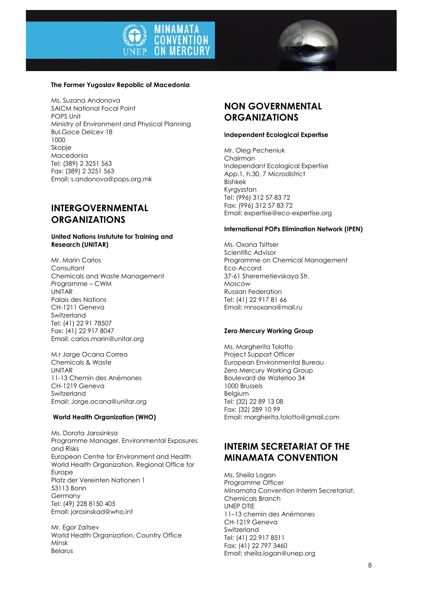



#### **The Former Yugoslav Repoblic of Macedonia**

Ms. Suzana Andonova SAICM National Focal Point POPS Unit Ministry of Environment and Physical Planning Bul.Goce Delcev 18 1000 Skopje Macedonia Tel: (389) 2 3251 563 Fax: (389) 2 3251 563 Email: s.andonova@pops.org.mk

### **INTERGOVERNMENTAL ORGANIZATIONS**

#### **United Nations Instutute for Training and Research (UNITAR)**

Mr. Marin Carlos **Consultant** Chemicals and Waste Management Programme – CWM UNITAR Palais des Nations CH-1211 Geneva Switzerland Tel: (41) 22 91 78507 Fax: (41) 22 917 8047 Email: carlos.marin@unitar.org

M.r Jorge Ocana Correa Chemicals & Waste UNITAR 11-13 Chemin des Anémones CH-1219 Geneva Switzerland Email: Jorge.ocana@unitar.org

#### **World Health Organization (WHO)**

Ms. Dorota Jarosinksa Programme Manager, Environmental Exposures and Risks European Centre for Environment and Health World Health Organization, Regional Office for Europe Platz der Vereinten Nationen 1 53113 Bonn Germany Tel: (49) 228 8150 405 Email: jarosinskad@who.int

Mr. Egor Zaitsev World Health Organization, Country Office Minsk Belarus

## **NON GOVERNMENTAL ORGANIZATIONS**

#### **Independent Ecological Expertise**

Mr. Oleg Pecheniuk Chairman Independant Ecological Expertise App.1, h.30, 7 Microdistrict Bishkek Kyrgyzstan Tel: (996) 312 57 83 72 Fax: (996) 312 57 83 72 Email: expertise@eco-expertise.org

#### **International POPs Elimination Network (IPEN)**

Ms. Oxana Tsittser Scientific Advisor Programme on Chemical Management Eco-Accord 37-61 Sheremetievskaya Str. Moscow Russian Federation Tel: (41) 22 917 81 66 Email: mnsoxana@mail.ru

#### **Zero Mercury Working Group**

Ms. Margherita Tolotto Project Support Officer European Environmental Bureau Zero Mercury Working Group Boulevard de Waterloo 34 1000 Brussels Belgium Tel: (32) 22 89 13 08 Fax: (32) 289 10 99 Email: margherita.tolotto@gmail.com

### **INTERIM SECRETARIAT OF THE MINAMATA CONVENTION**

Ms. Sheila Logan Programme Officer Minamata Convention Interim Secretariat, Chemicals Branch UNEP DTIE 11–13 chemin des Anémones CH-1219 Geneva Switzerland Tel: (41) 22 917 8511 Fax: (41) 22 797 3460 Email: sheila.logan@unep.org